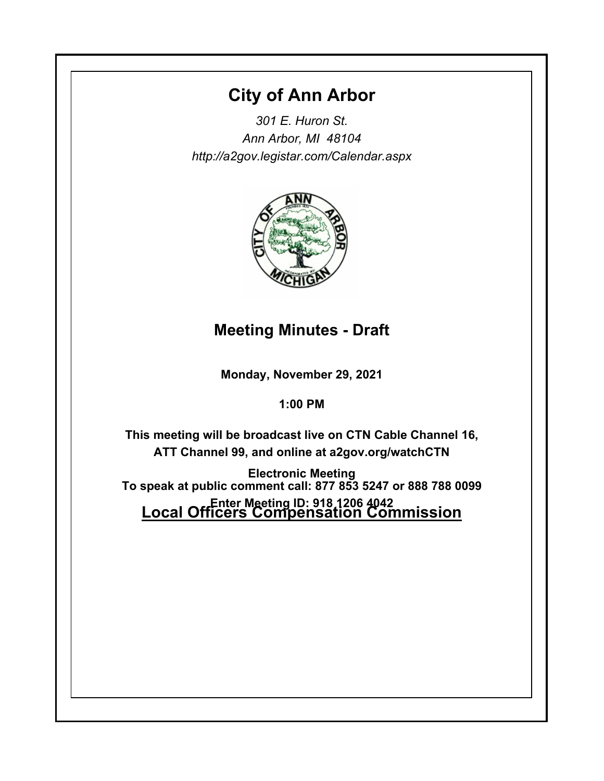# **City of Ann Arbor**

*301 E. Huron St. Ann Arbor, MI 48104 http://a2gov.legistar.com/Calendar.aspx*



## **Meeting Minutes - Draft**

**Monday, November 29, 2021**

## **1:00 PM**

**This meeting will be broadcast live on CTN Cable Channel 16, ATT Channel 99, and online at a2gov.org/watchCTN** 

**Electronic Meeting Enter Meeting ID: 918 1206 4042<br><u>Local Officers Compensation Commission</u> To speak at public comment call: 877 853 5247 or 888 788 0099**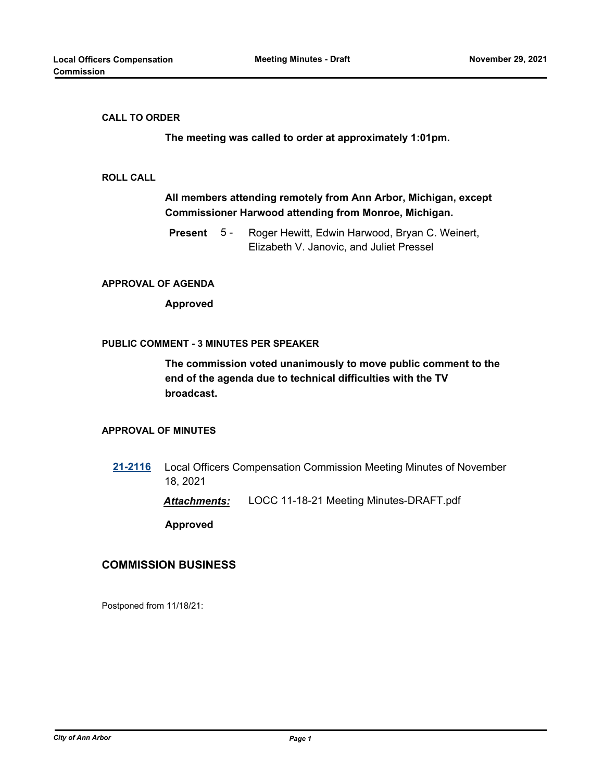#### **CALL TO ORDER**

**The meeting was called to order at approximately 1:01pm.**

#### **ROLL CALL**

## **All members attending remotely from Ann Arbor, Michigan, except Commissioner Harwood attending from Monroe, Michigan.**

Roger Hewitt, Edwin Harwood, Bryan C. Weinert, Elizabeth V. Janovic, and Juliet Pressel **Present** 5 -

#### **APPROVAL OF AGENDA**

**Approved**

#### **PUBLIC COMMENT - 3 MINUTES PER SPEAKER**

**The commission voted unanimously to move public comment to the end of the agenda due to technical difficulties with the TV broadcast.**

#### **APPROVAL OF MINUTES**

**[21-2116](http://a2gov.legistar.com/gateway.aspx?M=L&ID=29035)** Local Officers Compensation Commission Meeting Minutes of November 18, 2021

*Attachments:* LOCC 11-18-21 Meeting Minutes-DRAFT.pdf

**Approved**

### **COMMISSION BUSINESS**

Postponed from 11/18/21: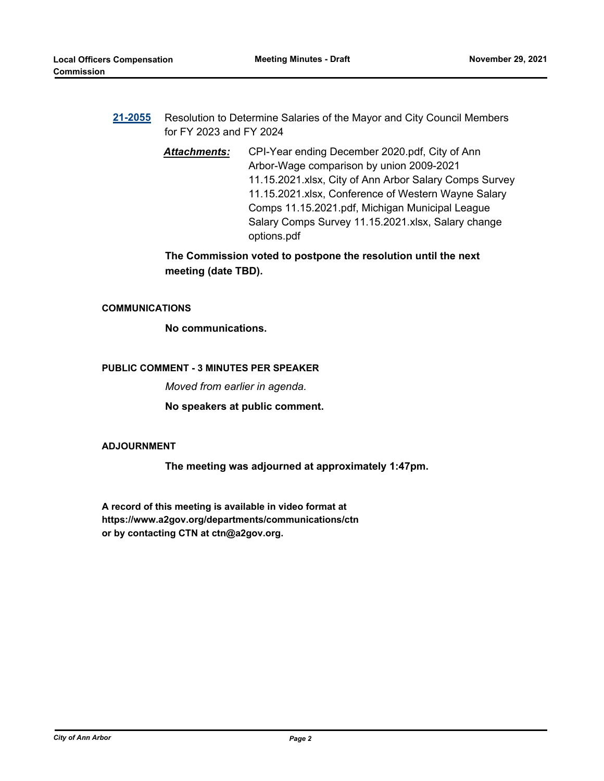- **[21-2055](http://a2gov.legistar.com/gateway.aspx?M=L&ID=28977)** Resolution to Determine Salaries of the Mayor and City Council Members for FY 2023 and FY 2024
	- *Attachments:* CPI-Year ending December 2020.pdf, City of Ann Arbor-Wage comparison by union 2009-2021 11.15.2021.xlsx, City of Ann Arbor Salary Comps Survey 11.15.2021.xlsx, Conference of Western Wayne Salary Comps 11.15.2021.pdf, Michigan Municipal League Salary Comps Survey 11.15.2021.xlsx, Salary change options.pdf

**The Commission voted to postpone the resolution until the next meeting (date TBD).**

#### **COMMUNICATIONS**

**No communications.**

#### **PUBLIC COMMENT - 3 MINUTES PER SPEAKER**

*Moved from earlier in agenda.*

**No speakers at public comment.**

#### **ADJOURNMENT**

**The meeting was adjourned at approximately 1:47pm.**

**A record of this meeting is available in video format at https://www.a2gov.org/departments/communications/ctn or by contacting CTN at ctn@a2gov.org.**